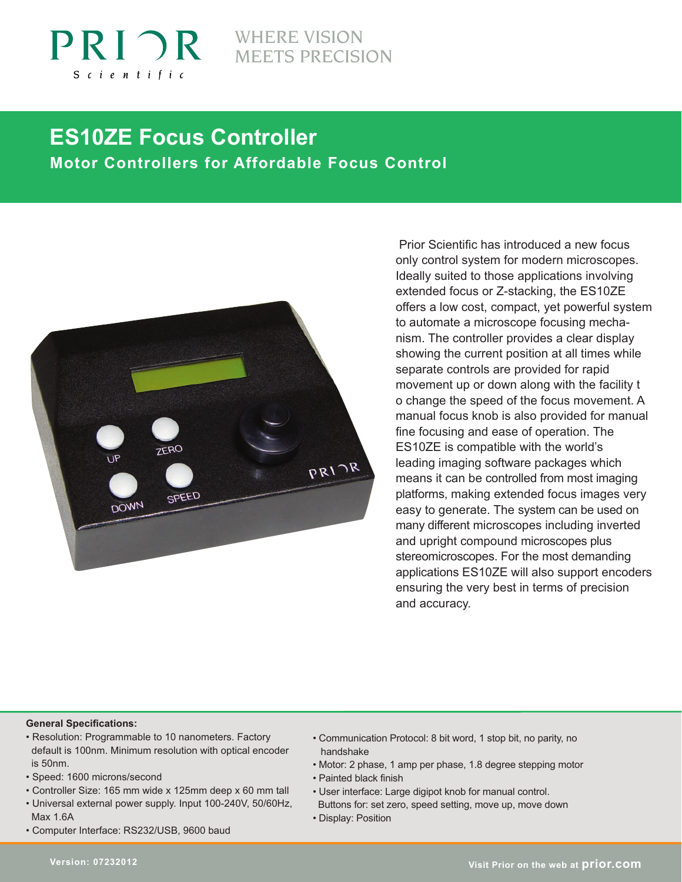

# **MEETS PRECISION**

# **ES10ZE Focus Controller Motor Controllers for Affordable Focus Control**



Prior Scientific has introduced a new focus only control system for modern microscopes. Ideally suited to those applications involving extended focus or Z-stacking, the ES10ZE offers a low cost, compact, yet powerful system to automate a microscope focusing mechanism. The controller provides a clear display showing the current position at all times while separate controls are provided for rapid movement up or down along with the facility t o change the speed of the focus movement. A manual focus knob is also provided for manual fine focusing and ease of operation. The ES10ZE is compatible with the world's leading imaging software packages which means it can be controlled from most imaging platforms, making extended focus images very easy to generate. The system can be used on many different microscopes including inverted and upright compound microscopes plus stereomicroscopes. For the most demanding applications ES10ZE will also support encoders ensuring the very best in terms of precision and accuracy.

#### **General Specifications:**

- Resolution: Programmable to 10 nanometers. Factory default is 100nm. Minimum resolution with optical encoder is 50nm.
- Speed: 1600 microns/second
- Controller Size: 165 mm wide x 125mm deep x 60 mm tall
- Universal external power supply. Input 100-240V, 50/60Hz, Max 1.6A
- Computer Interface: RS232/USB, 9600 baud
- Communication Protocol: 8 bit word, 1 stop bit, no parity, no handshake
- Motor: 2 phase, 1 amp per phase, 1.8 degree stepping motor
- Painted black finish
- User interface: Large digipot knob for manual control.
- Buttons for: set zero, speed setting, move up, move down
- Display: Position